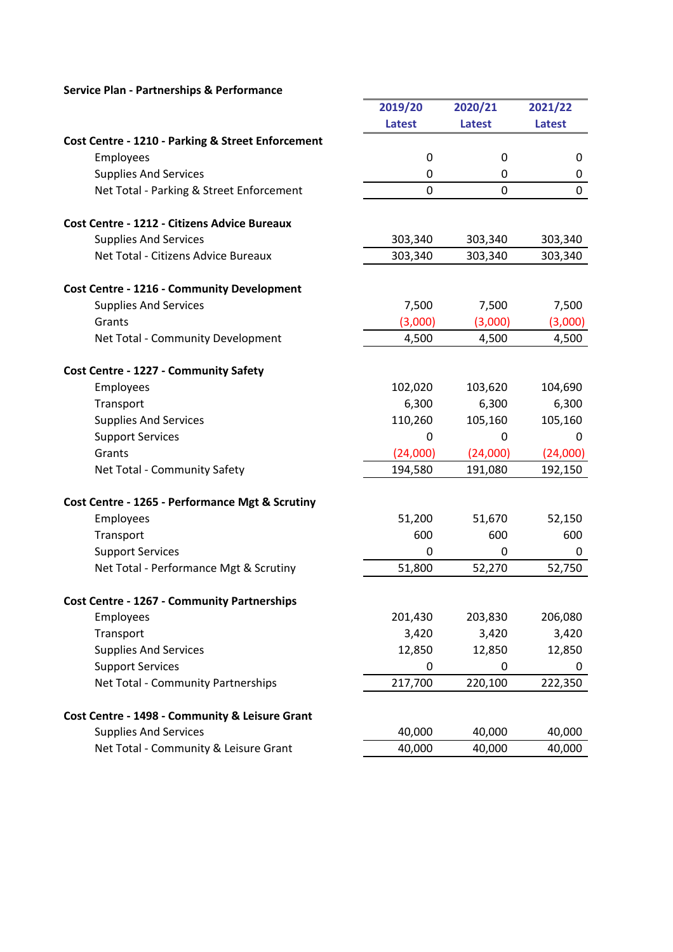## Service Plan - Partnerships & Performance

|                                                     | 2019/20       | 2020/21       | 2021/22       |
|-----------------------------------------------------|---------------|---------------|---------------|
|                                                     | <b>Latest</b> | <b>Latest</b> | <b>Latest</b> |
| Cost Centre - 1210 - Parking & Street Enforcement   |               |               |               |
| Employees                                           | $\mathbf 0$   | $\mathbf 0$   | 0             |
| <b>Supplies And Services</b>                        | 0             | 0             | 0             |
| Net Total - Parking & Street Enforcement            | 0             | $\mathbf 0$   | $\mathbf 0$   |
| <b>Cost Centre - 1212 - Citizens Advice Bureaux</b> |               |               |               |
| <b>Supplies And Services</b>                        | 303,340       | 303,340       | 303,340       |
| Net Total - Citizens Advice Bureaux                 | 303,340       | 303,340       | 303,340       |
| <b>Cost Centre - 1216 - Community Development</b>   |               |               |               |
| <b>Supplies And Services</b>                        | 7,500         | 7,500         | 7,500         |
| Grants                                              | (3,000)       | (3,000)       | (3,000)       |
| Net Total - Community Development                   | 4,500         | 4,500         | 4,500         |
| Cost Centre - 1227 - Community Safety               |               |               |               |
| Employees                                           | 102,020       | 103,620       | 104,690       |
| Transport                                           | 6,300         | 6,300         | 6,300         |
| <b>Supplies And Services</b>                        | 110,260       | 105,160       | 105,160       |
|                                                     | 0             | 0             | 0             |
| <b>Support Services</b><br>Grants                   | (24,000)      | (24,000)      | (24,000)      |
| Net Total - Community Safety                        | 194,580       | 191,080       | 192,150       |
|                                                     |               |               |               |
| Cost Centre - 1265 - Performance Mgt & Scrutiny     |               |               |               |
| Employees                                           | 51,200        | 51,670        | 52,150        |
| Transport                                           | 600           | 600           | 600           |
| <b>Support Services</b>                             | 0             | $\Omega$      | 0             |
| Net Total - Performance Mgt & Scrutiny              | 51,800        | 52,270        | 52,750        |
| <b>Cost Centre - 1267 - Community Partnerships</b>  |               |               |               |
| Employees                                           | 201,430       | 203,830       | 206,080       |
| Transport                                           | 3,420         | 3,420         | 3,420         |
| <b>Supplies And Services</b>                        | 12,850        | 12,850        | 12,850        |
| <b>Support Services</b>                             | 0             | 0             | 0             |
| Net Total - Community Partnerships                  | 217,700       | 220,100       | 222,350       |
| Cost Centre - 1498 - Community & Leisure Grant      |               |               |               |
| <b>Supplies And Services</b>                        | 40,000        | 40,000        | 40,000        |
| Net Total - Community & Leisure Grant               | 40,000        | 40,000        |               |
|                                                     |               |               | 40,000        |